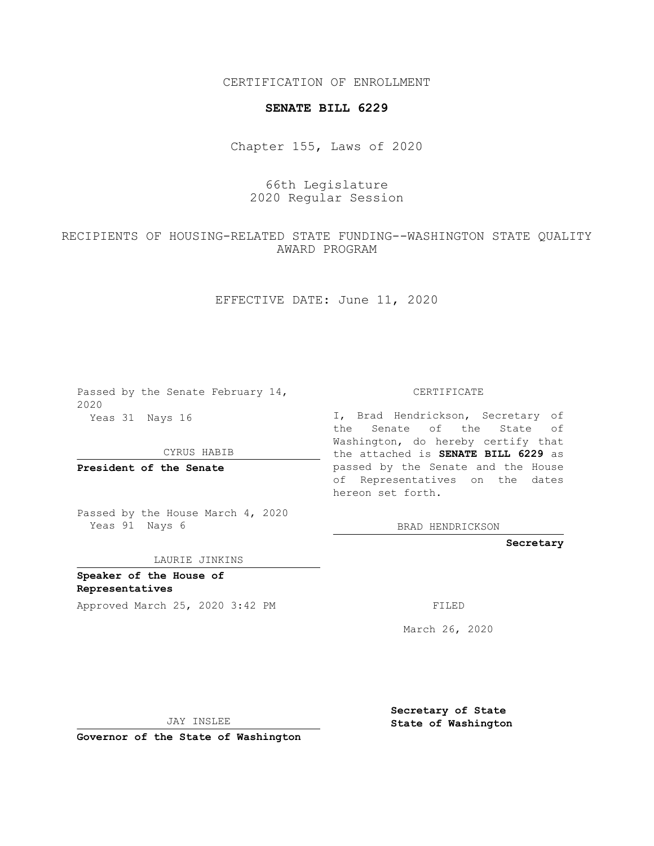CERTIFICATION OF ENROLLMENT

## **SENATE BILL 6229**

Chapter 155, Laws of 2020

## 66th Legislature 2020 Regular Session

## RECIPIENTS OF HOUSING-RELATED STATE FUNDING--WASHINGTON STATE QUALITY AWARD PROGRAM

EFFECTIVE DATE: June 11, 2020

Passed by the Senate February 14, 2020 Yeas 31 Nays 16

CYRUS HABIB

**President of the Senate**

Passed by the House March 4, 2020 Yeas 91 Nays 6

LAURIE JINKINS

**Speaker of the House of Representatives**

Approved March 25, 2020 3:42 PM

CERTIFICATE

I, Brad Hendrickson, Secretary of the Senate of the State of Washington, do hereby certify that the attached is **SENATE BILL 6229** as passed by the Senate and the House of Representatives on the dates hereon set forth.

BRAD HENDRICKSON

**Secretary**

March 26, 2020

JAY INSLEE

**Governor of the State of Washington**

**Secretary of State State of Washington**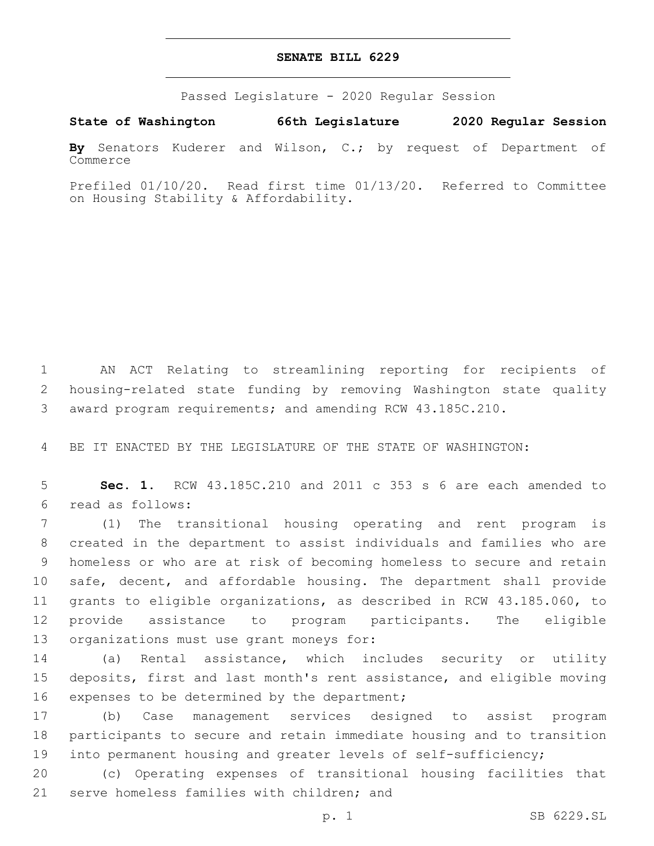## **SENATE BILL 6229**

Passed Legislature - 2020 Regular Session

**State of Washington 66th Legislature 2020 Regular Session**

**By** Senators Kuderer and Wilson, C.; by request of Department of Commerce

Prefiled 01/10/20. Read first time 01/13/20. Referred to Committee on Housing Stability & Affordability.

1 AN ACT Relating to streamlining reporting for recipients of 2 housing-related state funding by removing Washington state quality 3 award program requirements; and amending RCW 43.185C.210.

4 BE IT ENACTED BY THE LEGISLATURE OF THE STATE OF WASHINGTON:

5 **Sec. 1.** RCW 43.185C.210 and 2011 c 353 s 6 are each amended to read as follows:6

 (1) The transitional housing operating and rent program is created in the department to assist individuals and families who are homeless or who are at risk of becoming homeless to secure and retain safe, decent, and affordable housing. The department shall provide grants to eligible organizations, as described in RCW 43.185.060, to provide assistance to program participants. The eligible 13 organizations must use grant moneys for:

14 (a) Rental assistance, which includes security or utility 15 deposits, first and last month's rent assistance, and eligible moving 16 expenses to be determined by the department;

17 (b) Case management services designed to assist program 18 participants to secure and retain immediate housing and to transition 19 into permanent housing and greater levels of self-sufficiency;

20 (c) Operating expenses of transitional housing facilities that 21 serve homeless families with children; and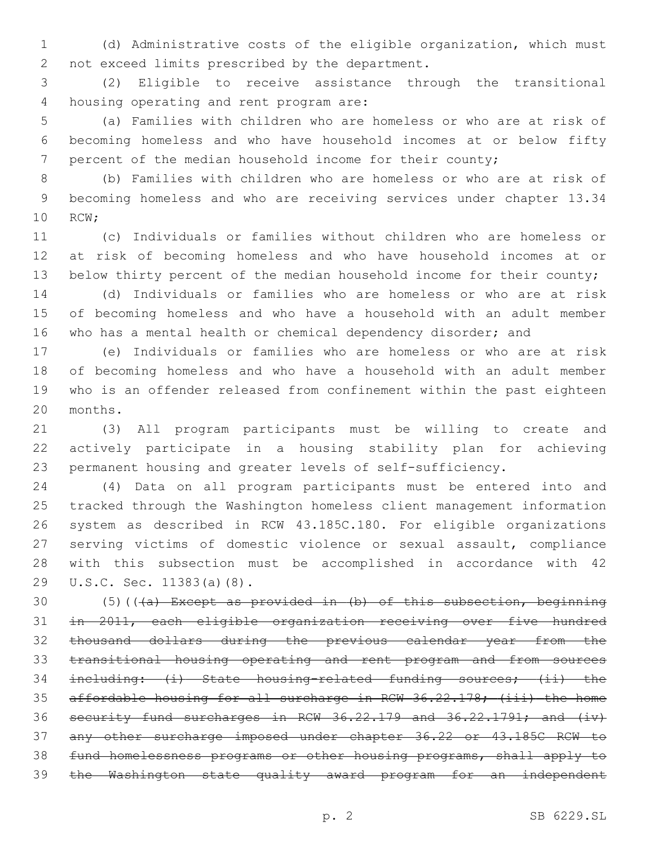(d) Administrative costs of the eligible organization, which must 2 not exceed limits prescribed by the department.

 (2) Eligible to receive assistance through the transitional 4 housing operating and rent program are:

 (a) Families with children who are homeless or who are at risk of becoming homeless and who have household incomes at or below fifty percent of the median household income for their county;

 (b) Families with children who are homeless or who are at risk of becoming homeless and who are receiving services under chapter 13.34 10 RCW;

 (c) Individuals or families without children who are homeless or at risk of becoming homeless and who have household incomes at or 13 below thirty percent of the median household income for their county;

 (d) Individuals or families who are homeless or who are at risk of becoming homeless and who have a household with an adult member 16 who has a mental health or chemical dependency disorder; and

 (e) Individuals or families who are homeless or who are at risk of becoming homeless and who have a household with an adult member who is an offender released from confinement within the past eighteen 20 months.

 (3) All program participants must be willing to create and actively participate in a housing stability plan for achieving permanent housing and greater levels of self-sufficiency.

 (4) Data on all program participants must be entered into and tracked through the Washington homeless client management information system as described in RCW 43.185C.180. For eligible organizations serving victims of domestic violence or sexual assault, compliance with this subsection must be accomplished in accordance with 42 29 U.S.C. Sec. 11383(a)(8).

30 (5)( $(\overline{a})$  Except as provided in (b) of this subsection, beginning in 2011, each eligible organization receiving over five hundred thousand dollars during the previous calendar year from the transitional housing operating and rent program and from sources including: (i) State housing-related funding sources; (ii) the affordable housing for all surcharge in RCW 36.22.178; (iii) the home security fund surcharges in RCW 36.22.179 and 36.22.1791; and (iv) any other surcharge imposed under chapter 36.22 or 43.185C RCW to fund homelessness programs or other housing programs, shall apply to the Washington state quality award program for an independent

p. 2 SB 6229.SL